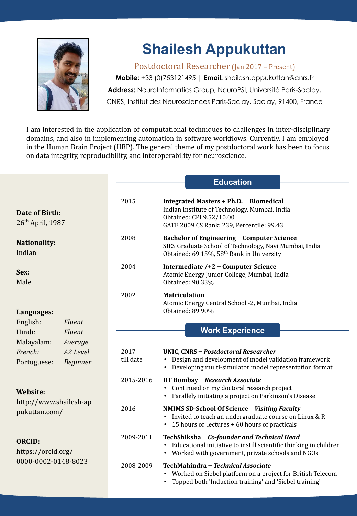

# **Shailesh Appukuttan**

Postdoctoral Researcher (Jan 2017 – Present)

**Mobile:** +33 (0)753121495 | **Email:** shailesh.appukuttan@cnrs.fr Address: NeuroInformatics Group, NeuroPSI, Université Paris-Saclay, CNRS, Institut des Neurosciences Paris-Saclay, Saclay, 91400, France

I am interested in the application of computational techniques to challenges in inter-disciplinary domains, and also in implementing automation in software workflows. Currently, I am employed in the Human Brain Project (HBP). The general theme of my postdoctoral work has been to focus on data integrity, reproducibility, and interoperability for neuroscience.

|                                                                                                                                                      |                       | <b>Education</b>                                                                                                                                                                  |
|------------------------------------------------------------------------------------------------------------------------------------------------------|-----------------------|-----------------------------------------------------------------------------------------------------------------------------------------------------------------------------------|
| Date of Birth:<br>$26th$ April, 1987                                                                                                                 | 2015                  | Integrated Masters + Ph.D. - Biomedical<br>Indian Institute of Technology, Mumbai, India<br>Obtained: CPI 9.52/10.00<br>GATE 2009 CS Rank: 239, Percentile: 99.43                 |
| Nationality:<br>Indian                                                                                                                               | 2008                  | <b>Bachelor of Engineering - Computer Science</b><br>SIES Graduate School of Technology, Navi Mumbai, India<br>Obtained: 69.15%, 58 <sup>th</sup> Rank in University              |
| Sex:<br>Male                                                                                                                                         | 2004                  | Intermediate /+2 – Computer Science<br>Atomic Energy Junior College, Mumbai, India<br>Obtained: 90.33%                                                                            |
| Languages:<br>English:<br><b>Fluent</b><br>Hindi:<br><b>Fluent</b><br>Malayalam:<br>Average<br>French:<br>A2 Level<br><b>Beginner</b><br>Portuguese: | 2002                  | <b>Matriculation</b><br>Atomic Energy Central School -2, Mumbai, India<br>Obtained: 89.90%                                                                                        |
|                                                                                                                                                      |                       | <b>Work Experience</b>                                                                                                                                                            |
|                                                                                                                                                      | $2017 -$<br>till date | UNIC, CNRS - Postdoctoral Researcher<br>Design and development of model validation framework<br>Developing multi-simulator model representation format                            |
| <b>Website:</b><br>http://www.shailesh-ap<br>pukuttan.com/                                                                                           | 2015-2016             | IIT Bombay - Research Associate<br>Continued on my doctoral research project<br>Parallely initiating a project on Parkinson's Disease                                             |
|                                                                                                                                                      | 2016                  | <b>NMIMS SD-School Of Science - Visiting Faculty</b><br>Invited to teach an undergraduate course on Linux & R<br>15 hours of lectures + 60 hours of practicals<br>$\bullet$       |
| <b>ORCID:</b><br>https://orcid.org/<br>0000-0002-0148-8023                                                                                           | 2009-2011             | TechShiksha - Co-founder and Technical Head<br>Educational initiative to instill scientific thinking in children<br>$\bullet$<br>Worked with government, private schools and NGOs |
|                                                                                                                                                      | 2008-2009             | TechMahindra - Technical Associate<br>Worked on Siebel platform on a project for British Telecom<br>Topped both 'Induction training' and 'Siebel training'                        |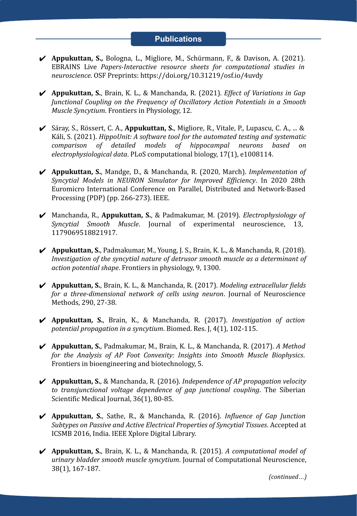#### **Publications**

- ✔ **Appukuttan, S.,** Bologna, L., Migliore, M., Schürmann, F., & Davison, A. (2021). EBRAINS Live *Papers-Interactive resource sheets for computational studies in neuroscience*. OSF Preprints: https://doi.org/10.31219/osf.io/4uvdy
- ✔ **Appukuttan, S.**, Brain, K. L., & Manchanda, R. (2021). *Effect of Variations in Gap Junctional Coupling on the Frequency of Oscillatory Action Potentials in a Smooth Muscle Syncytium*. Frontiers in Physiology, 12.
- ✔ Sáray, S., Rössert, C. A., **Appukuttan, S.**, Migliore, R., Vitale, P., Lupascu, C. A., ... & Káli, S. (2021). *HippoUnit: A software tool for the automated testing and systematic comparison of detailed models of hippocampal neurons based on electrophysiological data*. PLoS computational biology, 17(1), e1008114.
- ✔ **Appukuttan, S.**, Mandge, D., & Manchanda, R. (2020, March). *Implementation of Syncytial Models in NEURON Simulator for Improved Efficiency*. In 2020 28th Euromicro International Conference on Parallel, Distributed and Network-Based Processing (PDP) (pp. 266-273). IEEE.
- ✔ Manchanda, R., **Appukuttan, S.**, & Padmakumar, M. (2019). *Electrophysiology of Syncytial Smooth Muscle*. Journal of experimental neuroscience, 13, 1179069518821917.
- ✔ **Appukuttan, S.**, Padmakumar, M., Young, J. S., Brain, K. L., & Manchanda, R. (2018). *Investigation of the syncytial nature of detrusor smooth muscle as a determinant of action potential shape*. Frontiers in physiology, 9, 1300.
- ✔ **Appukuttan, S.**, Brain, K. L., & Manchanda, R. (2017). *Modeling extracellular fields for a three-dimensional network of cells using neuron*. Journal of Neuroscience Methods, 290, 27-38.
- ✔ **Appukuttan, S.**, Brain, K., & Manchanda, R. (2017). *Investigation of action potential propagation in a syncytium*. Biomed. Res. J, 4(1), 102-115.
- ✔ **Appukuttan, S.**, Padmakumar, M., Brain, K. L., & Manchanda, R. (2017). *A Method for the Analysis of AP Foot Convexity: Insights into Smooth Muscle Biophysics*. Frontiers in bioengineering and biotechnology, 5.
- ✔ **Appukuttan, S.**, & Manchanda, R. (2016). *Independence of AP propagation velocity to transjunctional voltage dependence of gap junctional coupling*. The Siberian Scientific Medical Journal, 36(1), 80-85.
- ✔ **Appukuttan, S.**, Sathe, R., & Manchanda, R. (2016). *Influence of Gap Junction Subtypes on Passive and Active Electrical Properties of Syncytial Tissues*. Accepted at ICSMB 2016, India. IEEE Xplore Digital Library.
- ✔ **Appukuttan, S.**, Brain, K. L., & Manchanda, R. (2015). *A computational model of urinary bladder smooth muscle syncytium*. Journal of Computational Neuroscience, 38(1), 167-187.